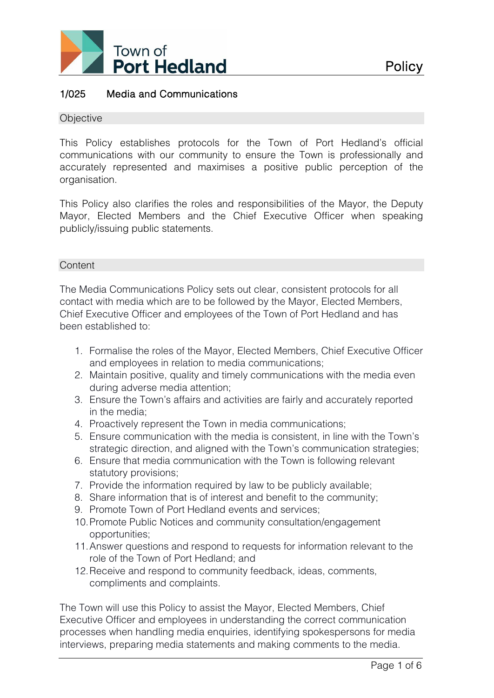

## 1/025 Media and Communications

#### **Objective**

This Policy establishes protocols for the Town of Port Hedland's official communications with our community to ensure the Town is professionally and accurately represented and maximises a positive public perception of the organisation.

This Policy also clarifies the roles and responsibilities of the Mayor, the Deputy Mayor, Elected Members and the Chief Executive Officer when speaking publicly/issuing public statements.

#### **Content**

The Media Communications Policy sets out clear, consistent protocols for all contact with media which are to be followed by the Mayor, Elected Members, Chief Executive Officer and employees of the Town of Port Hedland and has been established to:

- 1. Formalise the roles of the Mayor, Elected Members, Chief Executive Officer and employees in relation to media communications;
- 2. Maintain positive, quality and timely communications with the media even during adverse media attention;
- 3. Ensure the Town's affairs and activities are fairly and accurately reported in the media;
- 4. Proactively represent the Town in media communications;
- 5. Ensure communication with the media is consistent, in line with the Town's strategic direction, and aligned with the Town's communication strategies;
- 6. Ensure that media communication with the Town is following relevant statutory provisions;
- 7. Provide the information required by law to be publicly available;
- 8. Share information that is of interest and benefit to the community;
- 9. Promote Town of Port Hedland events and services;
- 10.Promote Public Notices and community consultation/engagement opportunities;
- 11.Answer questions and respond to requests for information relevant to the role of the Town of Port Hedland; and
- 12.Receive and respond to community feedback, ideas, comments, compliments and complaints.

The Town will use this Policy to assist the Mayor, Elected Members, Chief Executive Officer and employees in understanding the correct communication processes when handling media enquiries, identifying spokespersons for media interviews, preparing media statements and making comments to the media.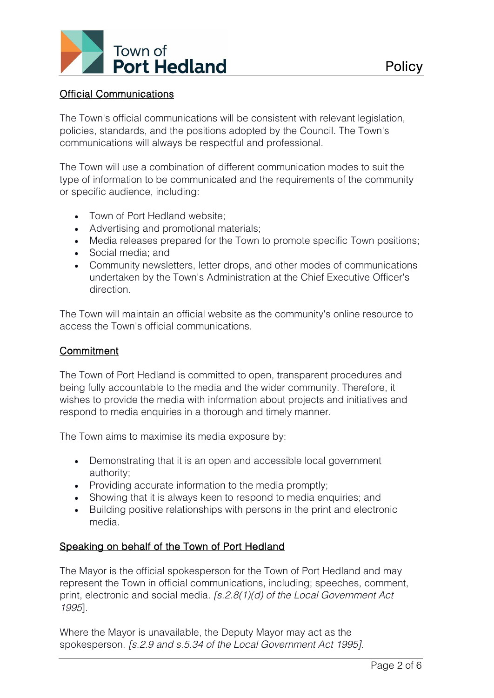

## Official Communications

The Town's official communications will be consistent with relevant legislation, policies, standards, and the positions adopted by the Council. The Town's communications will always be respectful and professional.

The Town will use a combination of different communication modes to suit the type of information to be communicated and the requirements of the community or specific audience, including:

- Town of Port Hedland website:
- Advertising and promotional materials;
- Media releases prepared for the Town to promote specific Town positions;
- Social media; and
- Community newsletters, letter drops, and other modes of communications undertaken by the Town's Administration at the Chief Executive Officer's direction.

The Town will maintain an official website as the community's online resource to access the Town's official communications.

## **Commitment**

The Town of Port Hedland is committed to open, transparent procedures and being fully accountable to the media and the wider community. Therefore, it wishes to provide the media with information about projects and initiatives and respond to media enquiries in a thorough and timely manner.

The Town aims to maximise its media exposure by:

- Demonstrating that it is an open and accessible local government authority;
- Providing accurate information to the media promptly;
- Showing that it is always keen to respond to media enquiries; and
- Building positive relationships with persons in the print and electronic media.

# Speaking on behalf of the Town of Port Hedland

The Mayor is the official spokesperson for the Town of Port Hedland and may represent the Town in official communications, including; speeches, comment, print, electronic and social media. *[s.2.8(1)(d) of the Local Government Act 1995*].

Where the Mayor is unavailable, the Deputy Mayor may act as the spokesperson. *[s.2.9 and s.5.34 of the Local Government Act 1995]*.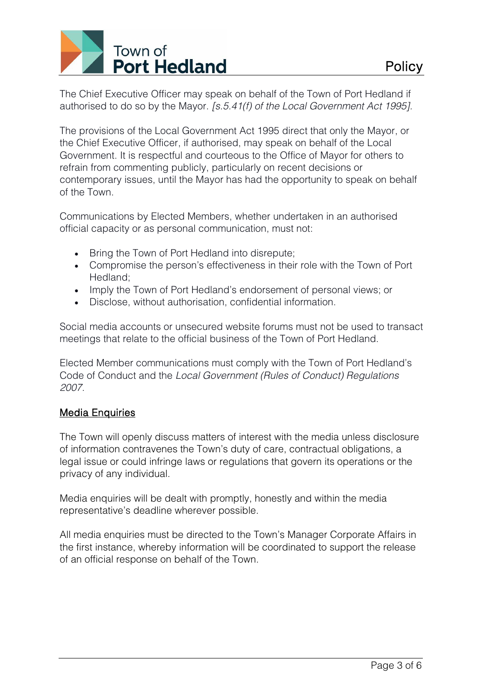

The Chief Executive Officer may speak on behalf of the Town of Port Hedland if authorised to do so by the Mayor. *[s.5.41(f) of the Local Government Act 1995].*

The provisions of the Local Government Act 1995 direct that only the Mayor, or the Chief Executive Officer, if authorised, may speak on behalf of the Local Government. It is respectful and courteous to the Office of Mayor for others to refrain from commenting publicly, particularly on recent decisions or contemporary issues, until the Mayor has had the opportunity to speak on behalf of the Town.

Communications by Elected Members, whether undertaken in an authorised official capacity or as personal communication, must not:

- Bring the Town of Port Hedland into disrepute;
- Compromise the person's effectiveness in their role with the Town of Port Hedland;
- Imply the Town of Port Hedland's endorsement of personal views; or
- Disclose, without authorisation, confidential information.

Social media accounts or unsecured website forums must not be used to transact meetings that relate to the official business of the Town of Port Hedland.

Elected Member communications must comply with the Town of Port Hedland's Code of Conduct and the *Local Government (Rules of Conduct) Regulations 2007.*

# Media Enquiries

The Town will openly discuss matters of interest with the media unless disclosure of information contravenes the Town's duty of care, contractual obligations, a legal issue or could infringe laws or regulations that govern its operations or the privacy of any individual.

Media enquiries will be dealt with promptly, honestly and within the media representative's deadline wherever possible.

All media enquiries must be directed to the Town's Manager Corporate Affairs in the first instance, whereby information will be coordinated to support the release of an official response on behalf of the Town.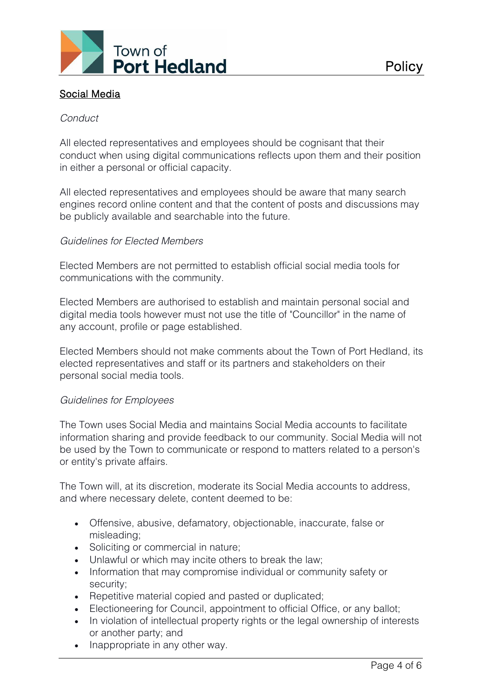

## *Conduct*

All elected representatives and employees should be cognisant that their conduct when using digital communications reflects upon them and their position in either a personal or official capacity.

All elected representatives and employees should be aware that many search engines record online content and that the content of posts and discussions may be publicly available and searchable into the future.

### *Guidelines for Elected Members*

Elected Members are not permitted to establish official social media tools for communications with the community.

Elected Members are authorised to establish and maintain personal social and digital media tools however must not use the title of "Councillor" in the name of any account, profile or page established.

Elected Members should not make comments about the Town of Port Hedland, its elected representatives and staff or its partners and stakeholders on their personal social media tools.

### *Guidelines for Employees*

The Town uses Social Media and maintains Social Media accounts to facilitate information sharing and provide feedback to our community. Social Media will not be used by the Town to communicate or respond to matters related to a person's or entity's private affairs.

The Town will, at its discretion, moderate its Social Media accounts to address, and where necessary delete, content deemed to be:

- Offensive, abusive, defamatory, objectionable, inaccurate, false or misleading;
- Soliciting or commercial in nature;
- Unlawful or which may incite others to break the law;
- Information that may compromise individual or community safety or security;
- Repetitive material copied and pasted or duplicated;
- Electioneering for Council, appointment to official Office, or any ballot;
- In violation of intellectual property rights or the legal ownership of interests or another party; and
- Inappropriate in any other way.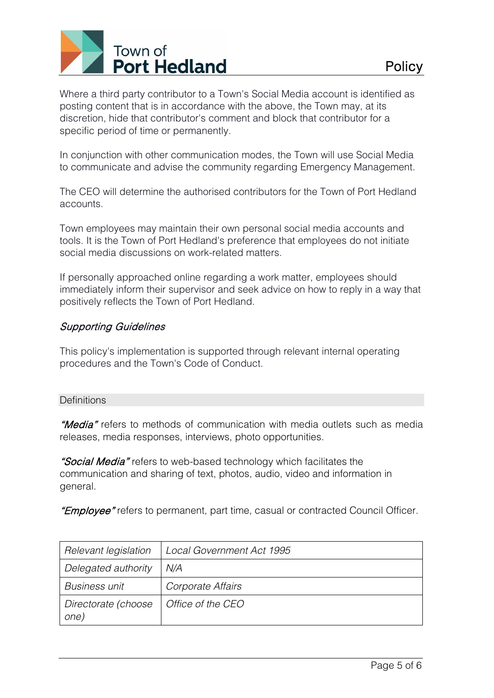

Where a third party contributor to a Town's Social Media account is identified as posting content that is in accordance with the above, the Town may, at its discretion, hide that contributor's comment and block that contributor for a specific period of time or permanently.

In conjunction with other communication modes, the Town will use Social Media to communicate and advise the community regarding Emergency Management.

The CEO will determine the authorised contributors for the Town of Port Hedland accounts.

Town employees may maintain their own personal social media accounts and tools. It is the Town of Port Hedland's preference that employees do not initiate social media discussions on work-related matters.

If personally approached online regarding a work matter, employees should immediately inform their supervisor and seek advice on how to reply in a way that positively reflects the Town of Port Hedland.

# Supporting Guidelines

This policy's implementation is supported through relevant internal operating procedures and the Town's Code of Conduct.

### **Definitions**

"Media" refers to methods of communication with media outlets such as media releases, media responses, interviews, photo opportunities.

"Social Media" refers to web-based technology which facilitates the communication and sharing of text, photos, audio, video and information in general.

"**Employee**" refers to permanent, part time, casual or contracted Council Officer.

| Relevant legislation        | <b>Local Government Act 1995</b> |
|-----------------------------|----------------------------------|
| Delegated authority         | N/A                              |
| <b>Business unit</b>        | Corporate Affairs                |
| Directorate (choose<br>one) | Office of the CEO                |